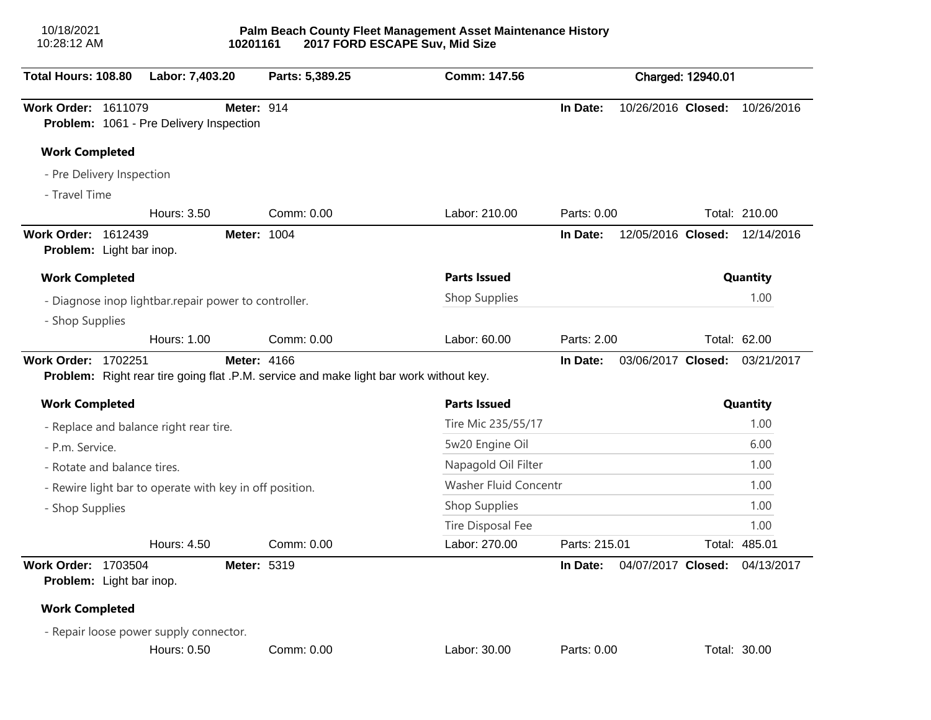| 10/18/2021<br>10:28:12 AM  |                                                         | 10201161           |                                                                                               | Palm Beach County Fleet Management Asset Maintenance History<br>2017 FORD ESCAPE Suv, Mid Size |                   |                    |          |               |  |
|----------------------------|---------------------------------------------------------|--------------------|-----------------------------------------------------------------------------------------------|------------------------------------------------------------------------------------------------|-------------------|--------------------|----------|---------------|--|
| Total Hours: 108.80        | Labor: 7,403.20                                         |                    | Parts: 5,389.25                                                                               | Comm: 147.56                                                                                   | Charged: 12940.01 |                    |          |               |  |
| Work Order: 1611079        | Problem: 1061 - Pre Delivery Inspection                 | <b>Meter: 914</b>  |                                                                                               |                                                                                                | In Date:          | 10/26/2016 Closed: |          | 10/26/2016    |  |
| <b>Work Completed</b>      |                                                         |                    |                                                                                               |                                                                                                |                   |                    |          |               |  |
|                            | - Pre Delivery Inspection                               |                    |                                                                                               |                                                                                                |                   |                    |          |               |  |
| - Travel Time              |                                                         |                    |                                                                                               |                                                                                                |                   |                    |          |               |  |
|                            | Hours: 3.50                                             |                    | Comm: 0.00                                                                                    | Labor: 210.00                                                                                  | Parts: 0.00       |                    |          | Total: 210.00 |  |
| Work Order: 1612439        | Problem: Light bar inop.                                | <b>Meter: 1004</b> |                                                                                               |                                                                                                | In Date:          | 12/05/2016 Closed: |          | 12/14/2016    |  |
| <b>Work Completed</b>      |                                                         |                    | <b>Parts Issued</b>                                                                           |                                                                                                |                   |                    | Quantity |               |  |
|                            | - Diagnose inop lightbar.repair power to controller.    |                    |                                                                                               | Shop Supplies                                                                                  |                   |                    |          | 1.00          |  |
| - Shop Supplies            |                                                         |                    |                                                                                               |                                                                                                |                   |                    |          |               |  |
|                            | <b>Hours: 1.00</b>                                      |                    | Comm: 0.00                                                                                    | Labor: 60.00                                                                                   | Parts: 2.00       |                    |          | Total: 62.00  |  |
| Work Order: 1702251        |                                                         | <b>Meter: 4166</b> | <b>Problem:</b> Right rear tire going flat .P.M. service and make light bar work without key. |                                                                                                | In Date:          | 03/06/2017 Closed: |          | 03/21/2017    |  |
| <b>Work Completed</b>      |                                                         |                    |                                                                                               | <b>Parts Issued</b>                                                                            |                   |                    |          | Quantity      |  |
|                            | - Replace and balance right rear tire.                  |                    |                                                                                               | Tire Mic 235/55/17                                                                             |                   |                    |          | 1.00          |  |
| - P.m. Service.            |                                                         |                    |                                                                                               | 5w20 Engine Oil                                                                                |                   |                    |          | 6.00          |  |
|                            | - Rotate and balance tires.                             |                    |                                                                                               | Napagold Oil Filter                                                                            |                   |                    |          | 1.00          |  |
|                            | - Rewire light bar to operate with key in off position. |                    |                                                                                               | Washer Fluid Concentr                                                                          |                   |                    |          | 1.00          |  |
| - Shop Supplies            |                                                         |                    |                                                                                               | Shop Supplies                                                                                  |                   |                    |          | 1.00          |  |
|                            |                                                         |                    |                                                                                               | Tire Disposal Fee                                                                              |                   |                    |          | 1.00          |  |
|                            | Hours: 4.50                                             |                    | Comm: 0.00                                                                                    | Labor: 270.00                                                                                  | Parts: 215.01     |                    |          | Total: 485.01 |  |
| <b>Work Order: 1703504</b> | Problem: Light bar inop.                                | Meter: 5319        |                                                                                               |                                                                                                | In Date:          | 04/07/2017 Closed: |          | 04/13/2017    |  |
| <b>Work Completed</b>      |                                                         |                    |                                                                                               |                                                                                                |                   |                    |          |               |  |
|                            | - Repair loose power supply connector.                  |                    |                                                                                               |                                                                                                |                   |                    |          |               |  |
|                            | <b>Hours: 0.50</b>                                      |                    | Comm: 0.00                                                                                    | Labor: 30.00                                                                                   | Parts: 0.00       |                    |          | Total: 30.00  |  |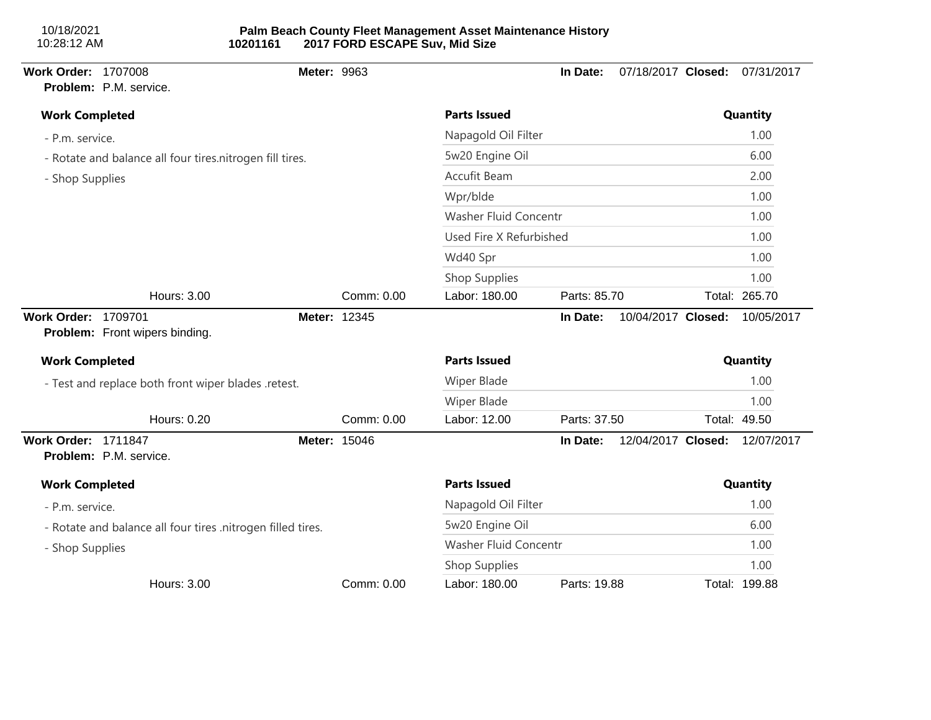| 10/18/2021  |  |
|-------------|--|
| 10:28:12 AM |  |

| <b>Work Order: 1707008</b> | Problem: P.M. service.                                      | Meter: 9963  |            |                              | In Date:     | 07/18/2017 Closed: |      | 07/31/2017    |  |
|----------------------------|-------------------------------------------------------------|--------------|------------|------------------------------|--------------|--------------------|------|---------------|--|
| <b>Work Completed</b>      |                                                             |              |            | <b>Parts Issued</b>          |              |                    |      | Quantity      |  |
| - P.m. service.            |                                                             |              |            | Napagold Oil Filter          |              |                    |      | 1.00          |  |
|                            | - Rotate and balance all four tires.nitrogen fill tires.    |              |            | 5w20 Engine Oil              |              |                    |      | 6.00          |  |
| - Shop Supplies            |                                                             |              |            | Accufit Beam                 |              |                    |      | 2.00          |  |
|                            |                                                             |              |            | Wpr/blde                     |              |                    |      | 1.00          |  |
|                            |                                                             |              |            | <b>Washer Fluid Concentr</b> |              |                    |      | 1.00          |  |
|                            |                                                             |              |            | Used Fire X Refurbished      |              |                    |      | 1.00          |  |
|                            |                                                             |              |            | Wd40 Spr                     |              |                    |      | 1.00          |  |
|                            |                                                             |              |            | Shop Supplies                |              |                    |      | 1.00          |  |
|                            | Hours: 3.00                                                 |              | Comm: 0.00 | Labor: 180.00                | Parts: 85.70 |                    |      | Total: 265.70 |  |
| <b>Work Order:</b>         | 1709701<br>Problem: Front wipers binding.                   | Meter: 12345 |            |                              | In Date:     | 10/04/2017 Closed: |      | 10/05/2017    |  |
| <b>Work Completed</b>      |                                                             |              |            | <b>Parts Issued</b>          |              |                    |      | Quantity      |  |
|                            | - Test and replace both front wiper blades .retest.         |              |            | <b>Wiper Blade</b>           |              |                    |      | 1.00          |  |
|                            |                                                             |              |            | Wiper Blade                  |              |                    |      | 1.00          |  |
|                            | Hours: 0.20                                                 |              | Comm: 0.00 | Labor: 12.00                 | Parts: 37.50 |                    |      | Total: 49.50  |  |
| <b>Work Order: 1711847</b> | Problem: P.M. service.                                      | Meter: 15046 |            |                              | In Date:     | 12/04/2017 Closed: |      | 12/07/2017    |  |
| <b>Work Completed</b>      |                                                             |              |            | <b>Parts Issued</b>          |              |                    |      | Quantity      |  |
| - P.m. service.            |                                                             |              |            | Napagold Oil Filter          |              |                    |      | 1.00          |  |
|                            | - Rotate and balance all four tires .nitrogen filled tires. |              |            | 5w20 Engine Oil              |              |                    |      | 6.00          |  |
| - Shop Supplies            |                                                             |              |            | Washer Fluid Concentr        |              |                    | 1.00 |               |  |
|                            |                                                             |              |            | Shop Supplies                |              |                    |      | 1.00          |  |
|                            | Hours: 3.00                                                 |              | Comm: 0.00 | Labor: 180.00                | Parts: 19.88 |                    |      | Total: 199.88 |  |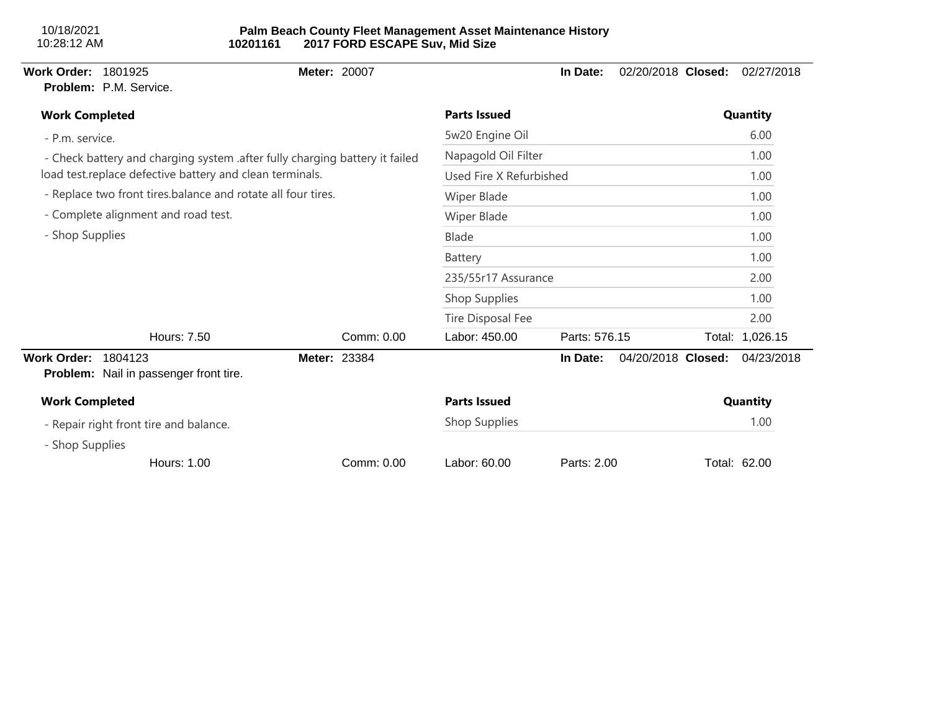| <b>Work Order:</b><br>1801925<br>Problem: P.M. Service.                     | <b>Meter: 20007</b> |                         | In Date:      | 02/20/2018 Closed: | 02/27/2018      |
|-----------------------------------------------------------------------------|---------------------|-------------------------|---------------|--------------------|-----------------|
| <b>Work Completed</b>                                                       |                     | <b>Parts Issued</b>     |               |                    | Quantity        |
| - P.m. service.                                                             |                     | 5w20 Engine Oil         |               |                    | 6.00            |
| - Check battery and charging system .after fully charging battery it failed |                     | Napagold Oil Filter     |               |                    | 1.00            |
| load test.replace defective battery and clean terminals.                    |                     | Used Fire X Refurbished |               |                    | 1.00            |
| - Replace two front tires.balance and rotate all four tires.                |                     | Wiper Blade             |               |                    | 1.00            |
| - Complete alignment and road test.                                         |                     | Wiper Blade             |               |                    | 1.00            |
| - Shop Supplies                                                             |                     | Blade                   |               |                    | 1.00            |
|                                                                             |                     | Battery                 |               |                    | 1.00            |
|                                                                             |                     | 235/55r17 Assurance     |               |                    | 2.00            |
|                                                                             |                     | Shop Supplies           |               |                    | 1.00            |
|                                                                             |                     | Tire Disposal Fee       |               |                    | 2.00            |
| Hours: 7.50                                                                 | Comm: 0.00          | Labor: 450.00           | Parts: 576.15 |                    | Total: 1,026.15 |
| <b>Work Order:</b><br>1804123<br>Problem: Nail in passenger front tire.     | <b>Meter: 23384</b> |                         | In Date:      | 04/20/2018 Closed: | 04/23/2018      |
| <b>Work Completed</b>                                                       |                     | <b>Parts Issued</b>     |               |                    | Quantity        |
| - Repair right front tire and balance.                                      |                     | Shop Supplies           |               |                    | 1.00            |
| - Shop Supplies                                                             |                     |                         |               |                    |                 |
| <b>Hours: 1.00</b>                                                          | Comm: 0.00          | Labor: 60.00            | Parts: 2.00   |                    | Total: 62.00    |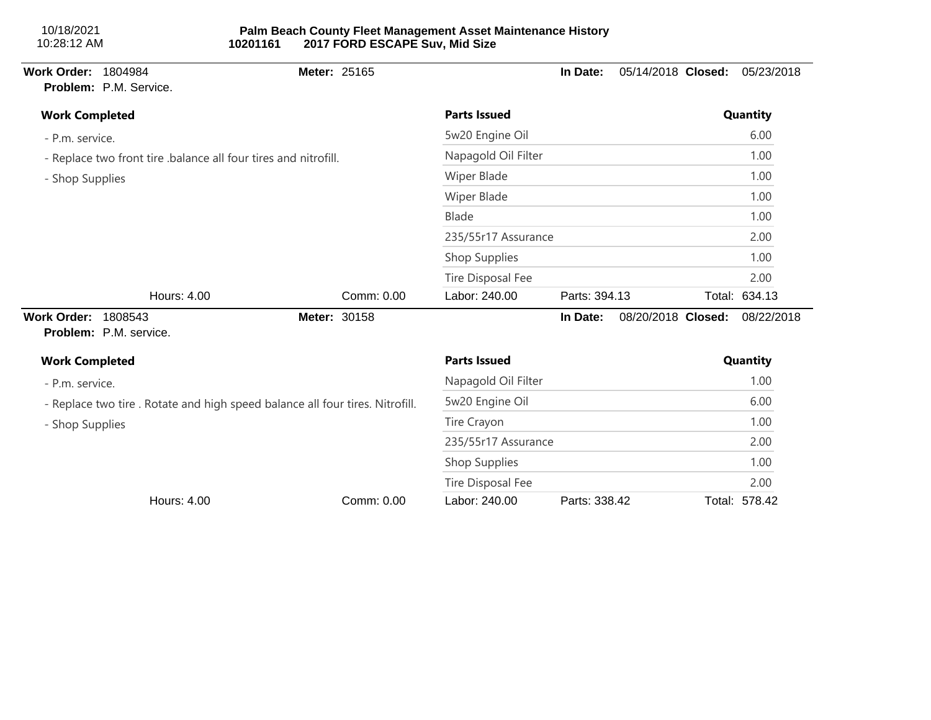| 10/18/2021<br>10:28:12 AM  |                        | 10201161                                                                      | 2017 FORD ESCAPE Suv, Mid Size | Palm Beach County Fleet Management Asset Maintenance History |               |                    |               |
|----------------------------|------------------------|-------------------------------------------------------------------------------|--------------------------------|--------------------------------------------------------------|---------------|--------------------|---------------|
| Work Order: 1804984        | Problem: P.M. Service. | Meter: 25165                                                                  |                                |                                                              | In Date:      | 05/14/2018 Closed: | 05/23/2018    |
| <b>Work Completed</b>      |                        |                                                                               |                                | <b>Parts Issued</b>                                          |               |                    | Quantity      |
| - P.m. service.            |                        |                                                                               |                                | 5w20 Engine Oil                                              |               |                    | 6.00          |
|                            |                        | - Replace two front tire .balance all four tires and nitrofill.               |                                | Napagold Oil Filter                                          |               |                    | 1.00          |
| - Shop Supplies            |                        |                                                                               |                                | <b>Wiper Blade</b>                                           |               |                    | 1.00          |
|                            |                        |                                                                               |                                | <b>Wiper Blade</b>                                           |               |                    | 1.00          |
|                            |                        |                                                                               |                                | <b>Blade</b>                                                 |               |                    | 1.00          |
|                            |                        |                                                                               |                                | 235/55r17 Assurance                                          |               |                    | 2.00          |
|                            |                        |                                                                               |                                | Shop Supplies                                                |               |                    | 1.00          |
|                            |                        |                                                                               |                                | Tire Disposal Fee                                            |               |                    | 2.00          |
|                            | Hours: 4.00            |                                                                               | Comm: 0.00                     | Labor: 240.00                                                | Parts: 394.13 |                    | Total: 634.13 |
| <b>Work Order: 1808543</b> | Problem: P.M. service. | Meter: 30158                                                                  |                                |                                                              | In Date:      | 08/20/2018 Closed: | 08/22/2018    |
| <b>Work Completed</b>      |                        |                                                                               |                                | <b>Parts Issued</b>                                          |               |                    | Quantity      |
| - P.m. service.            |                        |                                                                               |                                | Napagold Oil Filter                                          |               |                    | 1.00          |
|                            |                        | - Replace two tire . Rotate and high speed balance all four tires. Nitrofill. |                                | 5w20 Engine Oil                                              |               |                    | 6.00          |
| - Shop Supplies            |                        |                                                                               |                                | Tire Crayon                                                  |               |                    | 1.00          |
|                            |                        |                                                                               |                                | 235/55r17 Assurance                                          |               |                    | 2.00          |
|                            |                        |                                                                               |                                | Shop Supplies                                                |               |                    | 1.00          |
|                            |                        |                                                                               |                                | <b>Tire Disposal Fee</b>                                     |               |                    | 2.00          |
|                            | Hours: 4.00            |                                                                               | Comm: 0.00                     | Labor: 240.00                                                | Parts: 338.42 |                    | Total: 578.42 |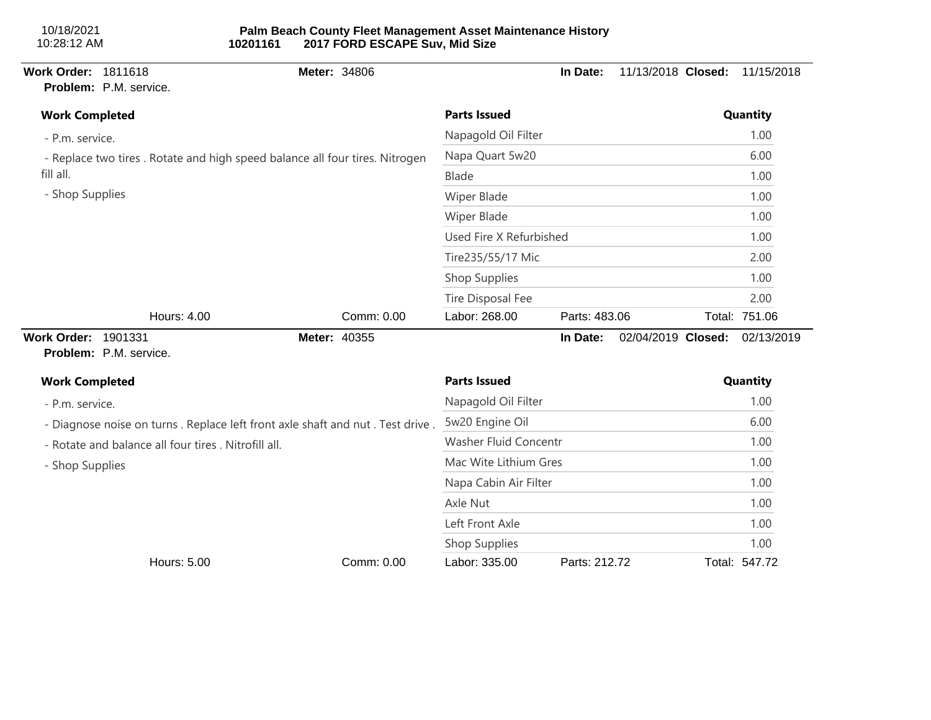| Work Order: 1811618        | Problem: P.M. service.                               |                                                                               | Meter: 34806 |                          | In Date:      | 11/13/2018 Closed: | 11/15/2018    |
|----------------------------|------------------------------------------------------|-------------------------------------------------------------------------------|--------------|--------------------------|---------------|--------------------|---------------|
| <b>Work Completed</b>      |                                                      |                                                                               |              | <b>Parts Issued</b>      |               |                    | Quantity      |
| - P.m. service.            |                                                      |                                                                               |              | Napagold Oil Filter      |               |                    | 1.00          |
|                            |                                                      | - Replace two tires . Rotate and high speed balance all four tires. Nitrogen  |              | Napa Quart 5w20          |               |                    | 6.00          |
| fill all.                  |                                                      |                                                                               |              | <b>Blade</b>             | 1.00          |                    |               |
| - Shop Supplies            |                                                      |                                                                               |              | Wiper Blade              |               |                    | 1.00          |
|                            |                                                      |                                                                               |              | Wiper Blade              |               |                    | 1.00          |
|                            |                                                      |                                                                               |              | Used Fire X Refurbished  |               |                    | 1.00          |
|                            |                                                      |                                                                               |              | Tire235/55/17 Mic        |               |                    | 2.00          |
|                            |                                                      |                                                                               |              | Shop Supplies            |               |                    | 1.00          |
|                            |                                                      |                                                                               |              | <b>Tire Disposal Fee</b> |               |                    | 2.00          |
|                            | Hours: 4.00                                          |                                                                               | Comm: 0.00   | Labor: 268.00            | Parts: 483.06 |                    | Total: 751.06 |
| <b>Work Order: 1901331</b> | Problem: P.M. service.                               |                                                                               | Meter: 40355 |                          | In Date:      | 02/04/2019 Closed: | 02/13/2019    |
| <b>Work Completed</b>      |                                                      |                                                                               |              | <b>Parts Issued</b>      |               |                    | Quantity      |
| - P.m. service.            |                                                      |                                                                               |              | Napagold Oil Filter      |               |                    | 1.00          |
|                            |                                                      | - Diagnose noise on turns. Replace left front axle shaft and nut. Test drive. |              | 5w20 Engine Oil          |               |                    | 6.00          |
|                            | - Rotate and balance all four tires . Nitrofill all. |                                                                               |              | Washer Fluid Concentr    |               |                    | 1.00          |
| - Shop Supplies            |                                                      |                                                                               |              | Mac Wite Lithium Gres    |               |                    | 1.00          |
|                            |                                                      |                                                                               |              | Napa Cabin Air Filter    |               |                    | 1.00          |
|                            |                                                      |                                                                               |              | Axle Nut                 |               |                    | 1.00          |
|                            |                                                      |                                                                               |              | Left Front Axle          |               |                    | 1.00          |
|                            |                                                      |                                                                               |              | Shop Supplies            |               |                    | 1.00          |
|                            | Hours: 5.00                                          |                                                                               | Comm: 0.00   | Labor: 335.00            | Parts: 212.72 |                    | Total: 547.72 |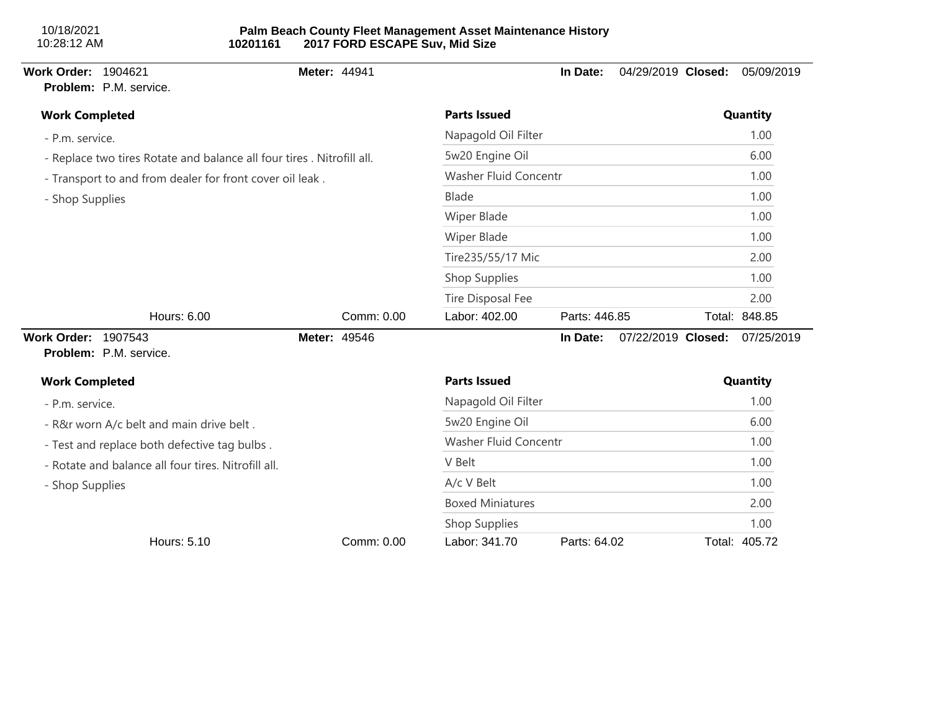## **Palm Beach County Fleet Management Asset Maintenance History 10201161 2017 FORD ESCAPE Suv, Mid Size**

# **Work Order:** 1904621 **Meter:** 44941 **In Date:** 04/29/2019 **Closed:** 05/09/2019 **Problem:** P.M. service. - P.m. service. - Replace two tires Rotate and balance all four tires . Nitrofill all. - Transport to and from dealer for front cover oil leak . - Shop Supplies **Work Completed Parts Issued Quantity** Napagold Oil Filter 1.00 5w20 Engine Oil 6.00 Washer Fluid Concentr 1.00 Blade 1.00 Wiper Blade 1.00 Wiper Blade 1.00 Tire235/55/17 Mic 2.00 Shop Supplies 1.00 Tire Disposal Fee 2.00 Hours: 6.00 Comm: 0.00 Labor: 402.00 Parts: 446.85 Total: 848.85 **Work Order:** 1907543 **Meter:** 49546 **In Date:** 07/22/2019 **Closed:** 07/25/2019 **Problem:** P.M. service. - P.m. service. - R&r worn A/c belt and main drive belt . - Test and replace both defective tag bulbs . - Rotate and balance all four tires. Nitrofill all. - Shop Supplies **Work Completed Parts Issued Quantity** Napagold Oil Filter 1.00 5w20 Engine Oil 6.00 Washer Fluid Concentr 1.00 V Belt 2.00  $A/c$  V Belt  $1.00$ Boxed Miniatures 2.00 Shop Supplies 1.00 Hours: 5.10 Comm: 0.00 Labor: 341.70 Parts: 64.02 Total: 405.72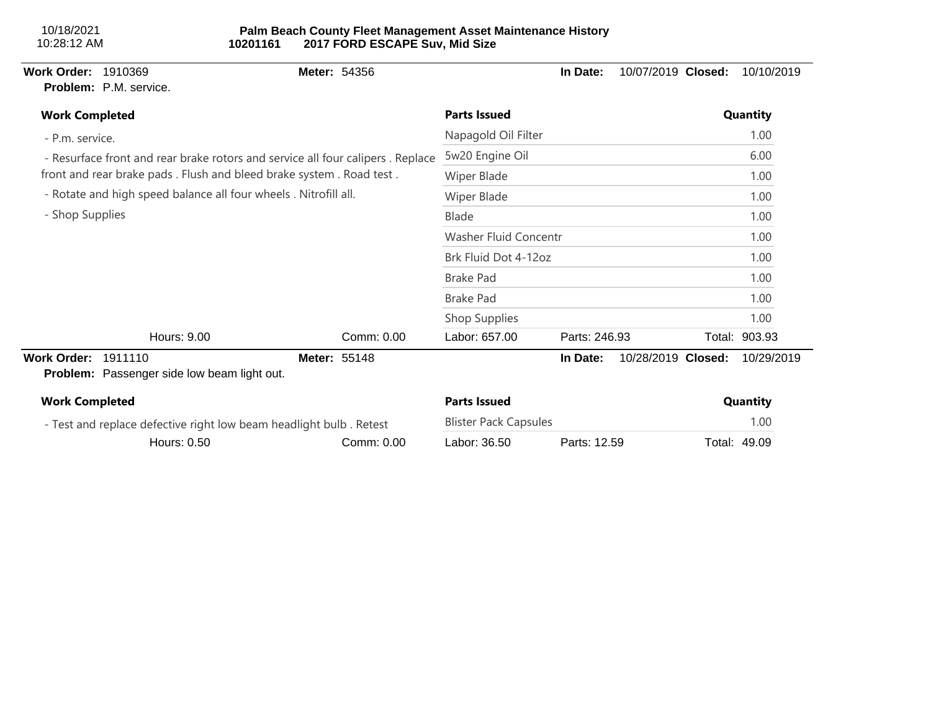| <b>Work Order:</b>    | 1910369<br><b>Problem:</b> P.M. service.                           | <b>Meter: 54356</b>                                                            |                              | In Date:      | 10/07/2019 Closed:<br>10/10/2019 |
|-----------------------|--------------------------------------------------------------------|--------------------------------------------------------------------------------|------------------------------|---------------|----------------------------------|
| <b>Work Completed</b> |                                                                    |                                                                                | <b>Parts Issued</b>          |               | Quantity                         |
| - P.m. service.       |                                                                    |                                                                                | Napagold Oil Filter          |               | 1.00                             |
|                       |                                                                    | - Resurface front and rear brake rotors and service all four calipers. Replace | 5w20 Engine Oil              | 6.00          |                                  |
|                       |                                                                    | front and rear brake pads. Flush and bleed brake system. Road test.            | Wiper Blade                  | 1.00          |                                  |
|                       | - Rotate and high speed balance all four wheels . Nitrofill all.   |                                                                                | Wiper Blade                  | 1.00          |                                  |
| - Shop Supplies       |                                                                    |                                                                                | Blade                        | 1.00          |                                  |
|                       |                                                                    |                                                                                | Washer Fluid Concentr        |               | 1.00                             |
|                       |                                                                    |                                                                                | Brk Fluid Dot 4-12oz         |               | 1.00                             |
|                       |                                                                    |                                                                                | <b>Brake Pad</b>             |               | 1.00                             |
|                       |                                                                    |                                                                                | <b>Brake Pad</b>             |               | 1.00                             |
|                       |                                                                    |                                                                                | Shop Supplies                |               | 1.00                             |
|                       | Hours: 9.00                                                        | Comm: 0.00                                                                     | Labor: 657.00                | Parts: 246.93 | Total: 903.93                    |
| <b>Work Order:</b>    | 1911110<br><b>Problem:</b> Passenger side low beam light out.      | Meter: 55148                                                                   |                              | In Date:      | 10/28/2019 Closed:<br>10/29/2019 |
| <b>Work Completed</b> |                                                                    |                                                                                | <b>Parts Issued</b>          |               | Quantity                         |
|                       | - Test and replace defective right low beam headlight bulb. Retest |                                                                                | <b>Blister Pack Capsules</b> |               | 1.00                             |
|                       | Hours: 0.50                                                        | Comm: 0.00                                                                     | Labor: 36.50                 | Parts: 12.59  | Total: 49.09                     |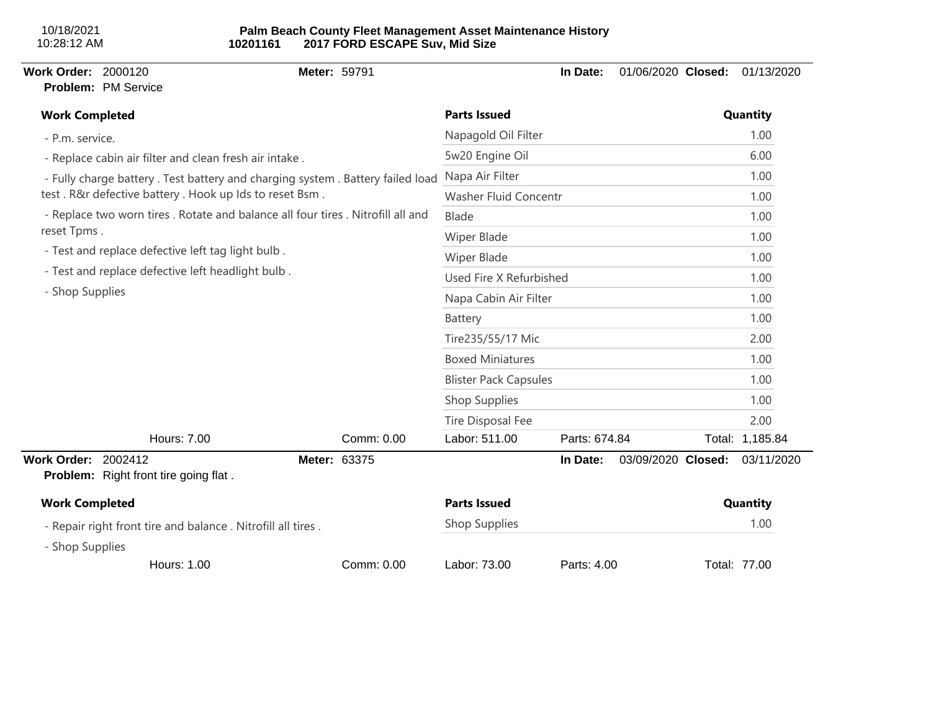# **Palm Beach County Fleet Management Asset Maintenance History 10201161 2017 FORD ESCAPE Suv, Mid Size**

# **Work Order:** 2000120 **Meter:** 59791 **In Date:** 01/06/2020 **Closed:** 01/13/2020 **Problem:** PM Service - P.m. service. - Replace cabin air filter and clean fresh air intake . - Fully charge battery . Test battery and charging system . Battery failed load test . R&r defective battery . Hook up Ids to reset Bsm . - Replace two worn tires . Rotate and balance all four tires . Nitrofill all and reset Tpms . - Test and replace defective left tag light bulb . - Test and replace defective left headlight bulb . - Shop Supplies **Work Completed Parts Issued Quantity** Napagold Oil Filter 1.00 5w20 Engine Oil 6.00 Napa Air Filter 1.00 Washer Fluid Concentr 1.00 Blade 1.00 Wiper Blade 1.00 Wiper Blade 1.00 Used Fire X Refurbished 1.00 Napa Cabin Air Filter 1.00 Battery 1.00 Tire235/55/17 Mic 2.00 Boxed Miniatures 1.00 Blister Pack Capsules 1.00 Shop Supplies 1.00 Tire Disposal Fee 2.00 Hours: 7.00 Comm: 0.00 Labor: 511.00 Parts: 674.84 Total: 1,185.84 **Work Order:** 2002412 **Meter:** 63375 **In Date:** 03/09/2020 **Closed:** 03/11/2020 **Problem:** Right front tire going flat . - Repair right front tire and balance . Nitrofill all tires . - Shop Supplies **Work Completed Parts Issued Quantity** Shop Supplies 1.00 Hours: 1.00 Comm: 0.00 Labor: 73.00 Parts: 4.00 Total: 77.00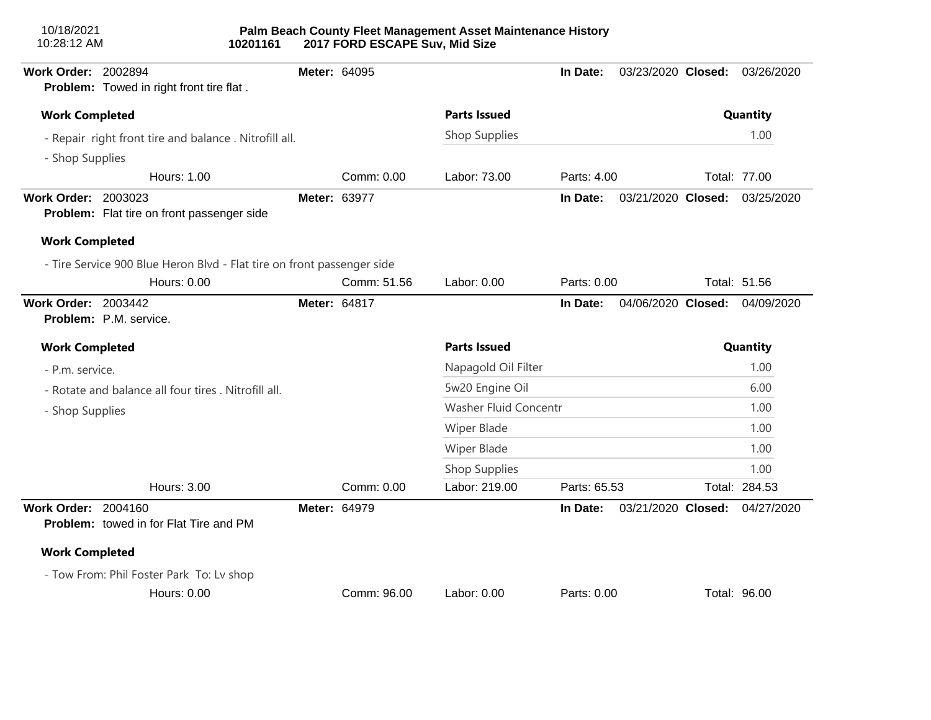| 10/18/2021<br>10:28:12 AM  | 10201161                                                               |              | 2017 FORD ESCAPE Suv, Mid Size | Palm Beach County Fleet Management Asset Maintenance History |              |                    |               |
|----------------------------|------------------------------------------------------------------------|--------------|--------------------------------|--------------------------------------------------------------|--------------|--------------------|---------------|
| Work Order: 2002894        | Problem: Towed in right front tire flat.                               | Meter: 64095 |                                |                                                              | In Date:     | 03/23/2020 Closed: | 03/26/2020    |
| <b>Work Completed</b>      |                                                                        |              |                                | <b>Parts Issued</b>                                          |              |                    | Quantity      |
|                            | - Repair right front tire and balance. Nitrofill all.                  |              |                                | Shop Supplies                                                |              |                    | 1.00          |
| - Shop Supplies            |                                                                        |              |                                |                                                              |              |                    |               |
|                            | <b>Hours: 1.00</b>                                                     |              | Comm: 0.00                     | Labor: 73.00                                                 | Parts: 4.00  |                    | Total: 77.00  |
| <b>Work Order: 2003023</b> | Problem: Flat tire on front passenger side                             | Meter: 63977 |                                |                                                              | In Date:     | 03/21/2020 Closed: | 03/25/2020    |
| <b>Work Completed</b>      |                                                                        |              |                                |                                                              |              |                    |               |
|                            | - Tire Service 900 Blue Heron Blvd - Flat tire on front passenger side |              |                                |                                                              |              |                    |               |
|                            | <b>Hours: 0.00</b>                                                     |              | Comm: 51.56                    | Labor: 0.00                                                  | Parts: 0.00  |                    | Total: 51.56  |
| <b>Work Order: 2003442</b> | Problem: P.M. service.                                                 | Meter: 64817 |                                |                                                              | In Date:     | 04/06/2020 Closed: | 04/09/2020    |
| <b>Work Completed</b>      |                                                                        |              |                                | <b>Parts Issued</b>                                          |              |                    | Quantity      |
| - P.m. service.            |                                                                        |              |                                | Napagold Oil Filter                                          |              |                    | 1.00          |
|                            | - Rotate and balance all four tires . Nitrofill all.                   |              |                                | 5w20 Engine Oil                                              |              |                    | 6.00          |
| - Shop Supplies            |                                                                        |              |                                | Washer Fluid Concentr                                        |              |                    | 1.00          |
|                            |                                                                        |              |                                | Wiper Blade                                                  |              |                    | 1.00          |
|                            |                                                                        |              |                                | <b>Wiper Blade</b>                                           |              |                    | 1.00          |
|                            |                                                                        |              |                                | Shop Supplies                                                |              |                    | 1.00          |
|                            | <b>Hours: 3.00</b>                                                     |              | Comm: 0.00                     | Labor: 219.00                                                | Parts: 65.53 |                    | Total: 284.53 |
| <b>Work Order: 2004160</b> | <b>Problem:</b> towed in for Flat Tire and PM                          | Meter: 64979 |                                |                                                              | In Date:     | 03/21/2020 Closed: | 04/27/2020    |
| <b>Work Completed</b>      |                                                                        |              |                                |                                                              |              |                    |               |
|                            | - Tow From: Phil Foster Park To: Lv shop<br><b>Hours: 0.00</b>         |              | Comm: 96.00                    | Labor: 0.00                                                  | Parts: 0.00  |                    | Total: 96.00  |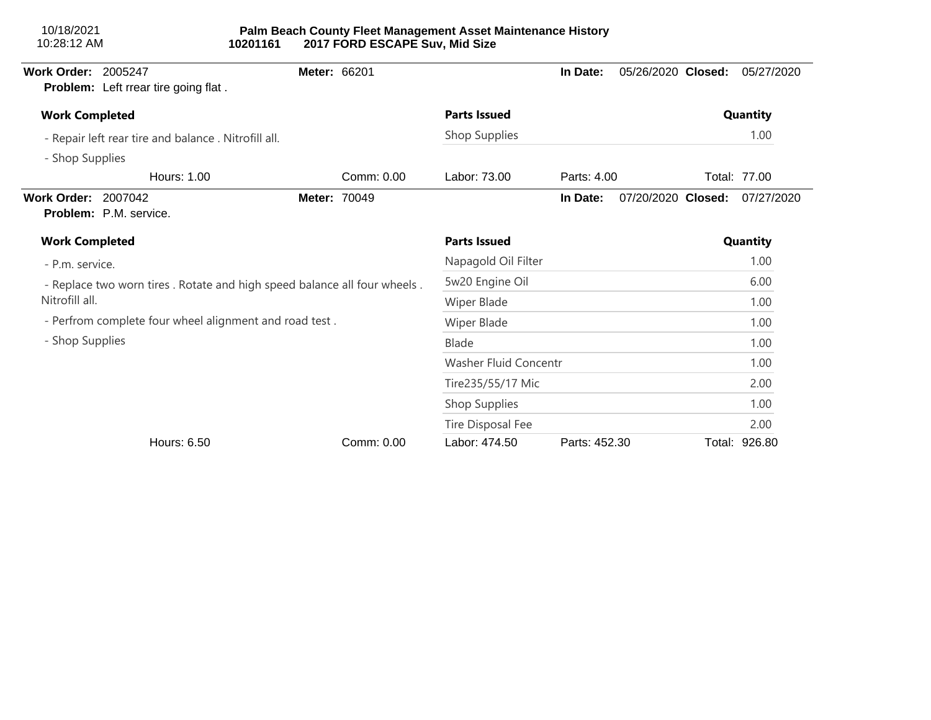| <b>Work Order: 2005247</b> | Problem: Left rrear tire going flat.                                       | Meter: 66201 |            |                       | In Date:      | 05/26/2020 Closed: | 05/27/2020    |
|----------------------------|----------------------------------------------------------------------------|--------------|------------|-----------------------|---------------|--------------------|---------------|
| <b>Work Completed</b>      |                                                                            |              |            | <b>Parts Issued</b>   | Quantity      |                    |               |
|                            | - Repair left rear tire and balance . Nitrofill all.                       |              |            | Shop Supplies         |               |                    | 1.00          |
| - Shop Supplies            |                                                                            |              |            |                       |               |                    |               |
|                            | Hours: 1.00                                                                |              | Comm: 0.00 | Labor: 73.00          | Parts: 4.00   |                    | Total: 77.00  |
| <b>Work Order: 2007042</b> | <b>Problem: P.M. service.</b>                                              | Meter: 70049 |            |                       | In Date:      | 07/20/2020 Closed: | 07/27/2020    |
| <b>Work Completed</b>      |                                                                            |              |            | <b>Parts Issued</b>   |               |                    | Quantity      |
| - P.m. service.            |                                                                            |              |            | Napagold Oil Filter   |               |                    | 1.00          |
|                            | - Replace two worn tires . Rotate and high speed balance all four wheels . |              |            | 5w20 Engine Oil       |               |                    | 6.00          |
| Nitrofill all.             |                                                                            |              |            | Wiper Blade           |               |                    | 1.00          |
|                            | - Perfrom complete four wheel alignment and road test.                     |              |            | Wiper Blade           |               |                    | 1.00          |
| - Shop Supplies            |                                                                            |              |            | Blade                 |               |                    | 1.00          |
|                            |                                                                            |              |            | Washer Fluid Concentr |               |                    | 1.00          |
|                            |                                                                            |              |            | Tire235/55/17 Mic     |               |                    | 2.00          |
|                            |                                                                            |              |            | Shop Supplies         |               |                    | 1.00          |
|                            |                                                                            |              |            | Tire Disposal Fee     |               |                    | 2.00          |
|                            | Hours: 6.50                                                                |              | Comm: 0.00 | Labor: 474.50         | Parts: 452.30 |                    | Total: 926.80 |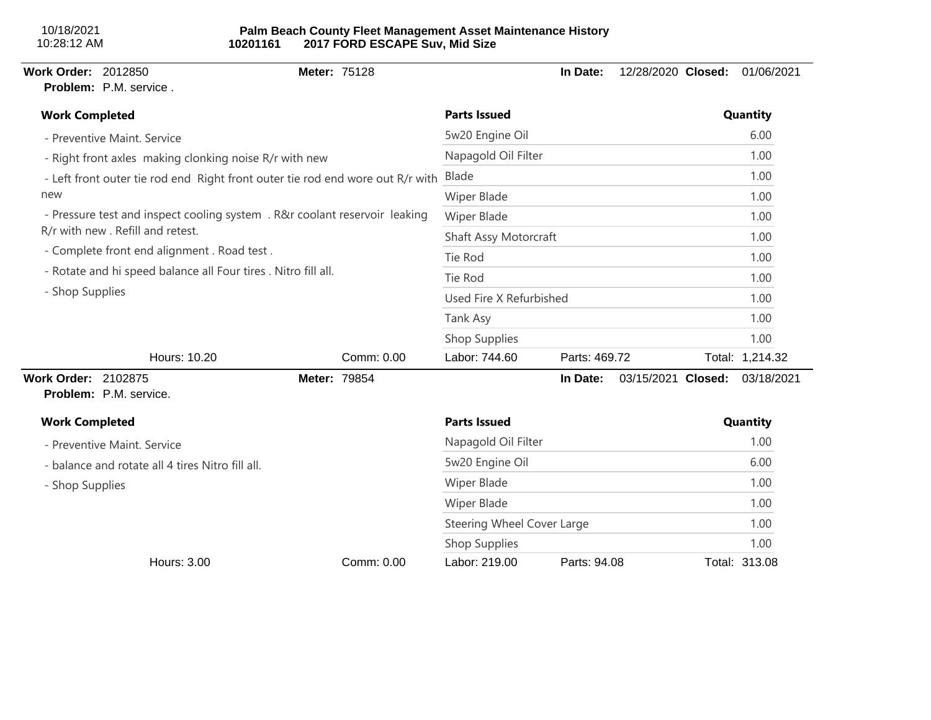| <b>Work Order: 2012850</b>                                     | Problem: P.M. service.                                 | Meter: 75128                                                                   |                            | In Date:      | 12/28/2020 Closed: | 01/06/2021      |
|----------------------------------------------------------------|--------------------------------------------------------|--------------------------------------------------------------------------------|----------------------------|---------------|--------------------|-----------------|
| <b>Work Completed</b>                                          |                                                        |                                                                                | <b>Parts Issued</b>        |               |                    | Quantity        |
|                                                                | - Preventive Maint. Service                            |                                                                                | 5w20 Engine Oil            |               |                    | 6.00            |
|                                                                | - Right front axles making clonking noise R/r with new |                                                                                | Napagold Oil Filter        |               |                    | 1.00            |
|                                                                |                                                        | - Left front outer tie rod end Right front outer tie rod end wore out R/r with | Blade                      |               |                    | 1.00            |
| new                                                            |                                                        |                                                                                | Wiper Blade                | 1.00          |                    |                 |
|                                                                |                                                        | - Pressure test and inspect cooling system . R&r coolant reservoir leaking     | Wiper Blade                |               |                    | 1.00            |
|                                                                | R/r with new . Refill and retest.                      |                                                                                | Shaft Assy Motorcraft      | 1.00          |                    |                 |
|                                                                | - Complete front end alignment . Road test .           |                                                                                | Tie Rod                    | 1.00          |                    |                 |
| - Rotate and hi speed balance all Four tires . Nitro fill all. |                                                        |                                                                                | Tie Rod                    |               |                    | 1.00            |
| - Shop Supplies                                                |                                                        |                                                                                | Used Fire X Refurbished    |               |                    | 1.00            |
|                                                                |                                                        |                                                                                | Tank Asy                   |               |                    | 1.00            |
|                                                                |                                                        |                                                                                | <b>Shop Supplies</b>       |               |                    | 1.00            |
|                                                                | Hours: 10.20                                           | Comm: 0.00                                                                     | Labor: 744.60              | Parts: 469.72 |                    | Total: 1,214.32 |
| <b>Work Order: 2102875</b>                                     | Problem: P.M. service.                                 | Meter: 79854                                                                   |                            | In Date:      | 03/15/2021 Closed: | 03/18/2021      |
| <b>Work Completed</b>                                          |                                                        |                                                                                | <b>Parts Issued</b>        |               |                    | Quantity        |
|                                                                | - Preventive Maint. Service                            |                                                                                | Napagold Oil Filter        |               |                    | 1.00            |
|                                                                | - balance and rotate all 4 tires Nitro fill all.       |                                                                                | 5w20 Engine Oil            |               |                    | 6.00            |
| - Shop Supplies                                                |                                                        |                                                                                | Wiper Blade                |               |                    | 1.00            |
|                                                                |                                                        |                                                                                | Wiper Blade                |               |                    | 1.00            |
|                                                                |                                                        |                                                                                | Steering Wheel Cover Large |               |                    | 1.00            |
|                                                                |                                                        |                                                                                | <b>Shop Supplies</b>       |               |                    | 1.00            |
|                                                                | <b>Hours: 3.00</b>                                     | Comm: 0.00                                                                     | Labor: 219.00              | Parts: 94.08  |                    | Total: 313.08   |